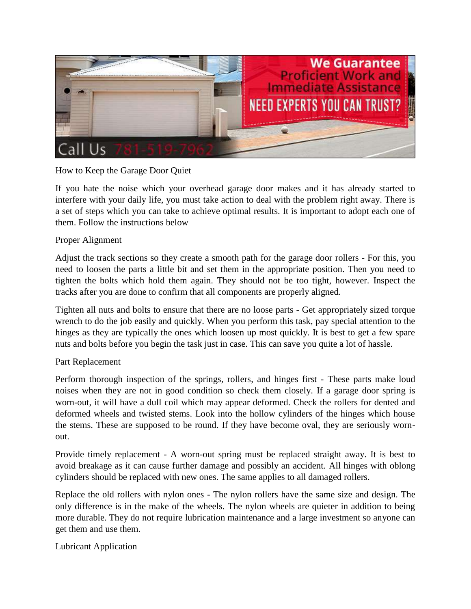

## How to Keep the Garage Door Quiet

If you hate the noise which your overhead garage door makes and it has already started to interfere with your daily life, you must take action to deal with the problem right away. There is a set of steps which you can take to achieve optimal results. It is important to adopt each one of them. Follow the instructions below

## Proper Alignment

Adjust the track sections so they create a smooth path for the garage door rollers - For this, you need to loosen the parts a little bit and set them in the appropriate position. Then you need to tighten the bolts which hold them again. They should not be too tight, however. Inspect the tracks after you are done to confirm that all components are properly aligned.

Tighten all nuts and bolts to ensure that there are no loose parts - Get appropriately sized torque wrench to do the job easily and quickly. When you perform this task, pay special attention to the hinges as they are typically the ones which loosen up most quickly. It is best to get a few spare nuts and bolts before you begin the task just in case. This can save you quite a lot of hassle.

## Part Replacement

Perform thorough inspection of the springs, rollers, and hinges first - These parts make loud noises when they are not in good condition so check them closely. If a garage door spring is worn-out, it will have a dull coil which may appear deformed. Check the rollers for dented and deformed wheels and twisted stems. Look into the hollow cylinders of the hinges which house the stems. These are supposed to be round. If they have become oval, they are seriously wornout.

Provide timely replacement - A worn-out spring must be replaced straight away. It is best to avoid breakage as it can cause further damage and possibly an accident. All hinges with oblong cylinders should be replaced with new ones. The same applies to all damaged rollers.

Replace the old rollers with nylon ones - The nylon rollers have the same size and design. The only difference is in the make of the wheels. The nylon wheels are quieter in addition to being more durable. They do not require lubrication maintenance and a large investment so anyone can get them and use them.

## Lubricant Application